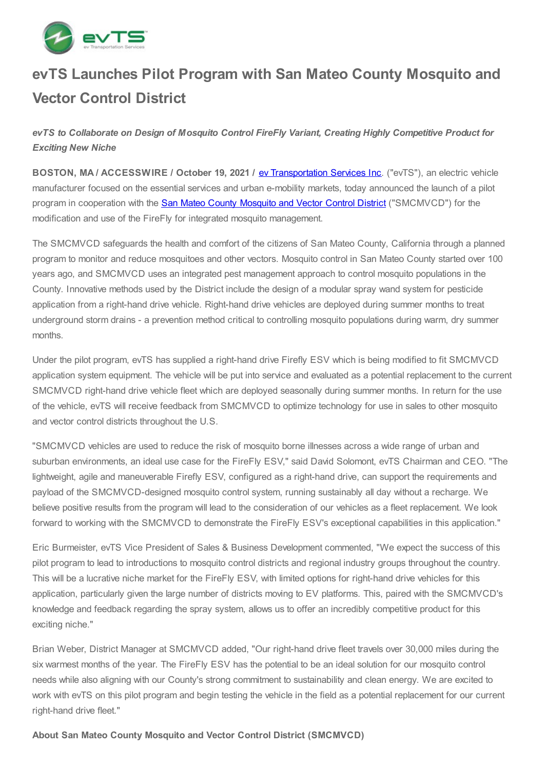

# **evTS Launches Pilot Program with San Mateo County Mosquito and Vector Control District**

*evTS to Collaborate on Design of Mosquito Control FireFly Variant, Creating Highly Competitive Product for Exciting New Niche*

**BOSTON, MA / ACCESSWIRE / October 19, 2021 /** ev [Transportation](https://pr.report/GphVcDj-) Services Inc. ("evTS"), an electric vehicle manufacturer focused on the essential services and urban e-mobility markets, today announced the launch of a pilot program in cooperation with the **San Mateo County [Mosquito](https://pr.report/43y5thYX) and Vector Control District** ("SMCMVCD") for the modification and use of the FireFly for integrated mosquito management.

The SMCMVCD safeguards the health and comfort of the citizens of San Mateo County, California through a planned program to monitor and reduce mosquitoes and other vectors. Mosquito control in San Mateo County started over 100 years ago, and SMCMVCD uses an integrated pest management approach to control mosquito populations in the County. Innovative methods used by the District include the design of a modular spray wand system for pesticide application from a right-hand drive vehicle. Right-hand drive vehicles are deployed during summer months to treat underground storm drains - a prevention method critical to controlling mosquito populations during warm, dry summer months.

Under the pilot program, evTS has supplied a right-hand drive Firefly ESV which is being modified to fit SMCMVCD application system equipment. The vehicle will be put into service and evaluated as a potential replacement to the current SMCMVCD right-hand drive vehicle fleet which are deployed seasonally during summer months. In return for the use of the vehicle, evTS will receive feedback from SMCMVCD to optimize technology for use in sales to other mosquito and vector control districts throughout the U.S.

"SMCMVCD vehicles are used to reduce the risk of mosquito borne illnesses across a wide range of urban and suburban environments, an ideal use case for the FireFly ESV," said David Solomont, evTS Chairman and CEO. "The lightweight, agile and maneuverable Firefly ESV, configured as a right-hand drive, can support the requirements and payload of the SMCMVCD-designed mosquito control system, running sustainably all day without a recharge. We believe positive results from the program will lead to the consideration of our vehicles as a fleet replacement. We look forward to working with the SMCMVCD to demonstrate the FireFly ESV's exceptional capabilities in this application."

Eric Burmeister, evTS Vice President of Sales & Business Development commented, "We expect the success of this pilot program to lead to introductions to mosquito control districts and regional industry groups throughout the country. This will be a lucrative niche market for the FireFly ESV, with limited options for right-hand drive vehicles for this application, particularly given the large number of districts moving to EV platforms. This, paired with the SMCMVCD's knowledge and feedback regarding the spray system, allows us to offer an incredibly competitive product for this exciting niche."

Brian Weber, District Manager at SMCMVCD added, "Our right-hand drive fleet travels over 30,000 miles during the six warmest months of the year. The FireFly ESV has the potential to be an ideal solution for our mosquito control needs while also aligning with our County's strong commitment to sustainability and clean energy. We are excited to work with evTS on this pilot program and begin testing the vehicle in the field as a potential replacement for our current right-hand drive fleet."

**About San Mateo County Mosquito and Vector Control District (SMCMVCD)**